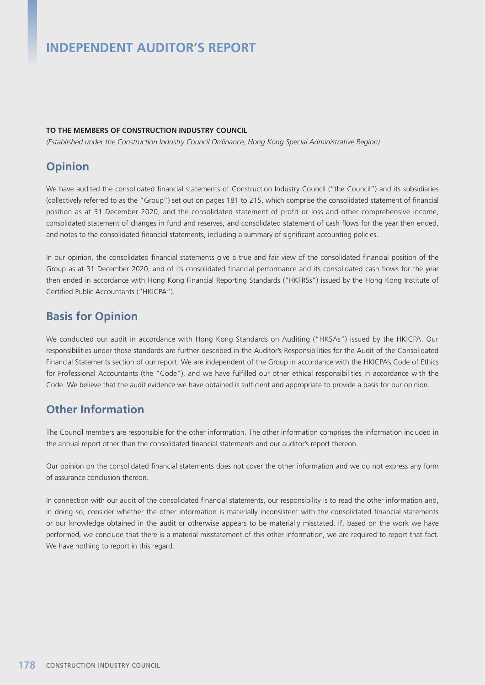# **INDEPENDENT AUDITOR'S REPORT**

#### **TO THE MEMBERS OF CONSTRUCTION INDUSTRY COUNCIL**

*(Established under the Construction Industry Council Ordinance, Hong Kong Special Administrative Region)*

### **Opinion**

We have audited the consolidated financial statements of Construction Industry Council ("the Council") and its subsidiaries (collectively referred to as the "Group") set out on pages 181 to 215, which comprise the consolidated statement of financial position as at 31 December 2020, and the consolidated statement of profit or loss and other comprehensive income, consolidated statement of changes in fund and reserves, and consolidated statement of cash flows for the year then ended, and notes to the consolidated financial statements, including a summary of significant accounting policies.

In our opinion, the consolidated financial statements give a true and fair view of the consolidated financial position of the Group as at 31 December 2020, and of its consolidated financial performance and its consolidated cash flows for the year then ended in accordance with Hong Kong Financial Reporting Standards ("HKFRSs") issued by the Hong Kong Institute of Certified Public Accountants ("HKICPA").

### **Basis for Opinion**

We conducted our audit in accordance with Hong Kong Standards on Auditing ("HKSAs") issued by the HKICPA. Our responsibilities under those standards are further described in the Auditor's Responsibilities for the Audit of the Consolidated Financial Statements section of our report. We are independent of the Group in accordance with the HKICPA's Code of Ethics for Professional Accountants (the "Code"), and we have fulfilled our other ethical responsibilities in accordance with the Code. We believe that the audit evidence we have obtained is sufficient and appropriate to provide a basis for our opinion.

## **Other Information**

The Council members are responsible for the other information. The other information comprises the information included in the annual report other than the consolidated financial statements and our auditor's report thereon.

Our opinion on the consolidated financial statements does not cover the other information and we do not express any form of assurance conclusion thereon.

In connection with our audit of the consolidated financial statements, our responsibility is to read the other information and, in doing so, consider whether the other information is materially inconsistent with the consolidated financial statements or our knowledge obtained in the audit or otherwise appears to be materially misstated. If, based on the work we have performed, we conclude that there is a material misstatement of this other information, we are required to report that fact. We have nothing to report in this regard.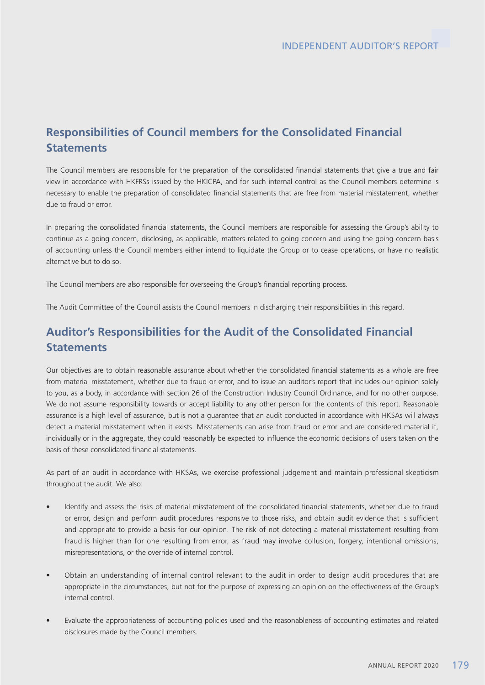## **Responsibilities of Council members for the Consolidated Financial Statements**

The Council members are responsible for the preparation of the consolidated financial statements that give a true and fair view in accordance with HKFRSs issued by the HKICPA, and for such internal control as the Council members determine is necessary to enable the preparation of consolidated financial statements that are free from material misstatement, whether due to fraud or error.

In preparing the consolidated financial statements, the Council members are responsible for assessing the Group's ability to continue as a going concern, disclosing, as applicable, matters related to going concern and using the going concern basis of accounting unless the Council members either intend to liquidate the Group or to cease operations, or have no realistic alternative but to do so.

The Council members are also responsible for overseeing the Group's financial reporting process.

The Audit Committee of the Council assists the Council members in discharging their responsibilities in this regard.

## **Auditor's Responsibilities for the Audit of the Consolidated Financial Statements**

Our objectives are to obtain reasonable assurance about whether the consolidated financial statements as a whole are free from material misstatement, whether due to fraud or error, and to issue an auditor's report that includes our opinion solely to you, as a body, in accordance with section 26 of the Construction Industry Council Ordinance, and for no other purpose. We do not assume responsibility towards or accept liability to any other person for the contents of this report. Reasonable assurance is a high level of assurance, but is not a guarantee that an audit conducted in accordance with HKSAs will always detect a material misstatement when it exists. Misstatements can arise from fraud or error and are considered material if, individually or in the aggregate, they could reasonably be expected to influence the economic decisions of users taken on the basis of these consolidated financial statements.

As part of an audit in accordance with HKSAs, we exercise professional judgement and maintain professional skepticism throughout the audit. We also:

- Identify and assess the risks of material misstatement of the consolidated financial statements, whether due to fraud or error, design and perform audit procedures responsive to those risks, and obtain audit evidence that is sufficient and appropriate to provide a basis for our opinion. The risk of not detecting a material misstatement resulting from fraud is higher than for one resulting from error, as fraud may involve collusion, forgery, intentional omissions, misrepresentations, or the override of internal control.
- • Obtain an understanding of internal control relevant to the audit in order to design audit procedures that are appropriate in the circumstances, but not for the purpose of expressing an opinion on the effectiveness of the Group's internal control.
- Evaluate the appropriateness of accounting policies used and the reasonableness of accounting estimates and related disclosures made by the Council members.